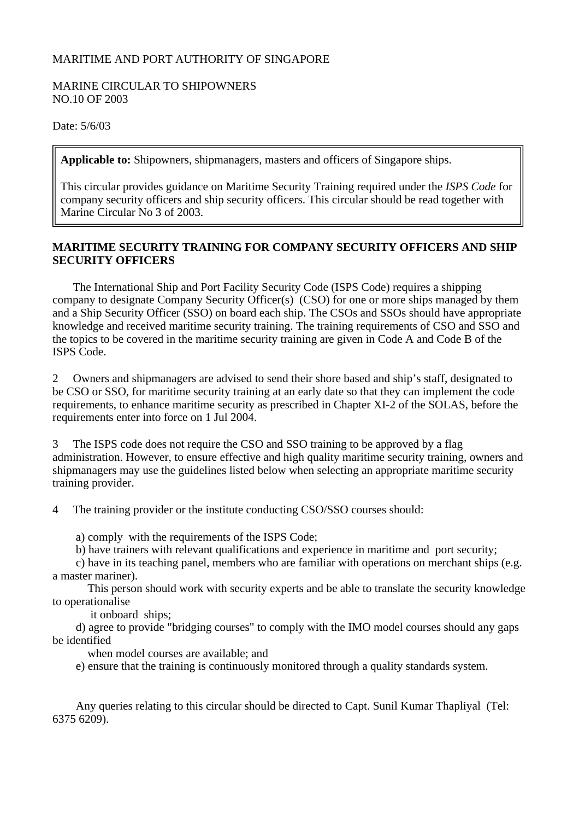## MARITIME AND PORT AUTHORITY OF SINGAPORE

## MARINE CIRCULAR TO SHIPOWNERS NO.10 OF 2003

Date: 5/6/03

**Applicable to:** Shipowners, shipmanagers, masters and officers of Singapore ships.

This circular provides guidance on Maritime Security Training required under the *ISPS Code* for company security officers and ship security officers. This circular should be read together with Marine Circular No 3 of 2003.

## **MARITIME SECURITY TRAINING FOR COMPANY SECURITY OFFICERS AND SHIP SECURITY OFFICERS**

 The International Ship and Port Facility Security Code (ISPS Code) requires a shipping company to designate Company Security Officer(s) (CSO) for one or more ships managed by them and a Ship Security Officer (SSO) on board each ship. The CSOs and SSOs should have appropriate knowledge and received maritime security training. The training requirements of CSO and SSO and the topics to be covered in the maritime security training are given in Code A and Code B of the ISPS Code.

2 Owners and shipmanagers are advised to send their shore based and ship's staff, designated to be CSO or SSO, for maritime security training at an early date so that they can implement the code requirements, to enhance maritime security as prescribed in Chapter XI-2 of the SOLAS, before the requirements enter into force on 1 Jul 2004.

3 The ISPS code does not require the CSO and SSO training to be approved by a flag administration. However, to ensure effective and high quality maritime security training, owners and shipmanagers may use the guidelines listed below when selecting an appropriate maritime security training provider.

4 The training provider or the institute conducting CSO/SSO courses should:

a) comply with the requirements of the ISPS Code;

b) have trainers with relevant qualifications and experience in maritime and port security;

 c) have in its teaching panel, members who are familiar with operations on merchant ships (e.g. a master mariner).

 This person should work with security experts and be able to translate the security knowledge to operationalise

it onboard ships;

 d) agree to provide "bridging courses" to comply with the IMO model courses should any gaps be identified

when model courses are available; and

e) ensure that the training is continuously monitored through a quality standards system.

 Any queries relating to this circular should be directed to Capt. Sunil Kumar Thapliyal (Tel: 6375 6209).